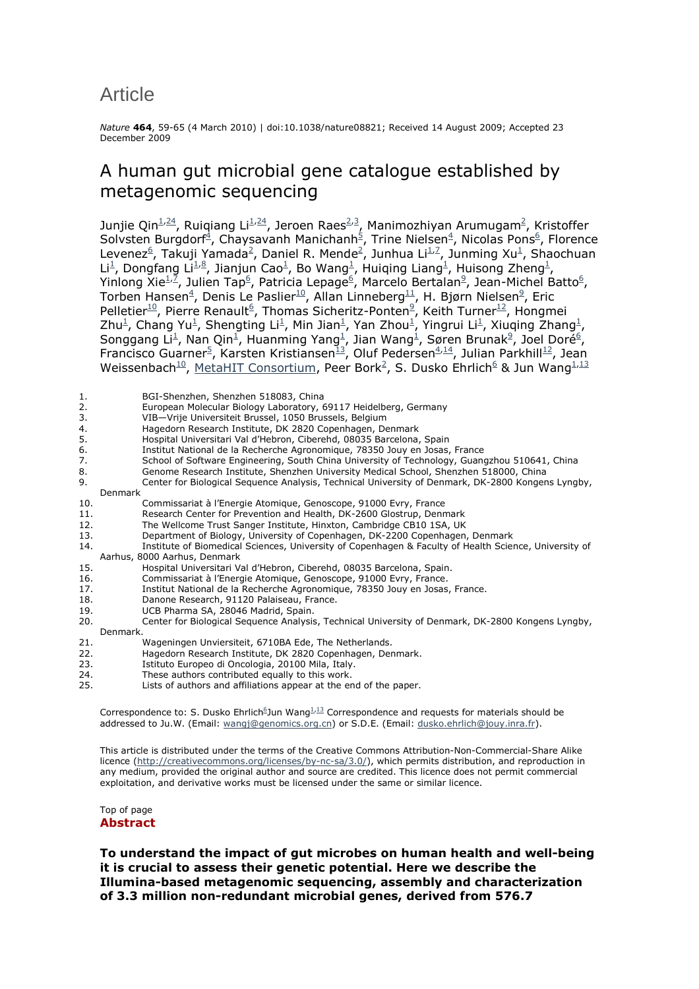# Article

*Nature* **464**, 59-65 (4 March 2010) | doi:10.1038/nature08821; Received 14 August 2009; Accepted 23 December 2009

## A human gut microbial gene catalogue established by metagenomic sequencing

Junjie Qin $\frac{1}{24}$ , Ruiqiang Li $\frac{1}{24}$ , Jeroen Raes<sup>2,3</sup>, Manimozhiyan Arumugam<sup>2</sup>, Kristoffer Solvsten Burgdorf<sup>4</sup>, Chaysavanh Manichanh<sup>5</sup>, Trine Nielsen<sup>4</sup>, Nicolas Pons<sup>6</sup>, Florence Levenez<sup>6</sup>, Takuji Yamada<sup>2</sup>, Daniel R. Mende<sup>2</sup>, Junhua Li<sup>1,7</sup>, Junming Xu<sup>1</sup>, Shaochuan Li<sup>1</sup>, Dongfang Li<sup>1,8</sup>, Jianjun Cao<sup>1</sup>, Bo Wang<sup>1</sup>, Huiqing Liang<sup>1</sup>, Huisong Zheng<sup>1</sup>, Yinlong Xie $^{1/2}$ , Julien Tap<sup>6</sup>, Patricia Lepage<sup>6</sup>, Marcelo Bertalan<sup>9</sup>, Jean-Michel Batto<sup>6</sup>, Torben Hansen $^4$ , Denis Le Paslier $^{10}$ , Allan Linneberg $^{11}$ , H. Bjørn Nielsen $^9$ , Eric Pelletier<sup>10</sup>, Pierre Renault<sup>6</sup>, Thomas Sicheritz-Ponten<sup>9</sup>, Keith Turner<sup>12</sup>, Hongmei Zhu<sup>1</sup>, Chang Yu<sup>1</sup>, Shengting Li<sup>1</sup>, Min Jian<sup>1</sup>, Yan Zhou<sup>1</sup>, Yingrui Li<sup>1</sup>, Xiuqing Zhang<sup>1</sup>, Songgang Li<sup>1</sup>, Nan Qin<sup>1</sup>, Huanming Yang<sup>1</sup>, Jian Wang<sup>1</sup>, Søren Brunak<sup>9</sup>, Joel Doré<sup>6</sup>, Francisco Guarner<sup>5</sup>, Karsten Kristiansen<sup>13</sup>, Oluf Pedersen<sup>4,14</sup>, Julian Parkhill<sup>12</sup>, Jean Weissenbach<sup>10</sup>, MetaHIT Consortium, Peer Bork<sup>2</sup>, S. Dusko Ehrlich<sup>6</sup> & Jun Wang<sup>1,13</sup>

| 1.  | BGI-Shenzhen, Shenzhen 518083, China                                                                  |
|-----|-------------------------------------------------------------------------------------------------------|
| 2.  | European Molecular Biology Laboratory, 69117 Heidelberg, Germany                                      |
| 3.  | VIB-Vrije Universiteit Brussel, 1050 Brussels, Belgium                                                |
| 4.  | Hagedorn Research Institute, DK 2820 Copenhagen, Denmark                                              |
| 5.  | Hospital Universitari Val d'Hebron, Ciberehd, 08035 Barcelona, Spain                                  |
| 6.  | Institut National de la Recherche Agronomique, 78350 Jouy en Josas, France                            |
| 7.  | School of Software Engineering, South China University of Technology, Guangzhou 510641, China         |
| 8.  | Genome Research Institute, Shenzhen University Medical School, Shenzhen 518000, China                 |
| 9.  | Center for Biological Sequence Analysis, Technical University of Denmark, DK-2800 Kongens Lyngby,     |
|     | Denmark                                                                                               |
| 10. | Commissariat à l'Energie Atomique, Genoscope, 91000 Evry, France                                      |
| 11. | Research Center for Prevention and Health, DK-2600 Glostrup, Denmark                                  |
| 12. | The Wellcome Trust Sanger Institute, Hinxton, Cambridge CB10 1SA, UK                                  |
| 13. | Department of Biology, University of Copenhagen, DK-2200 Copenhagen, Denmark                          |
| 14. | Institute of Biomedical Sciences, University of Copenhagen & Faculty of Health Science, University of |
|     | Aarhus, 8000 Aarhus, Denmark                                                                          |
| 15. | Hospital Universitari Val d'Hebron, Ciberehd, 08035 Barcelona, Spain.                                 |
| 16. | Commissariat à l'Energie Atomique, Genoscope, 91000 Evry, France.                                     |
| 17. | Institut National de la Recherche Agronomique, 78350 Jouy en Josas, France.                           |
| 18. | Danone Research, 91120 Palaiseau, France.                                                             |
| 19. | UCB Pharma SA, 28046 Madrid, Spain.                                                                   |
| 20. | Center for Biological Sequence Analysis, Technical University of Denmark, DK-2800 Kongens Lyngby,     |
|     | Denmark.                                                                                              |
| 21. | Wageningen Unviersiteit, 6710BA Ede, The Netherlands.                                                 |
| 22. | Hagedorn Research Institute, DK 2820 Copenhagen, Denmark.                                             |
| 23. | Istituto Europeo di Oncologia, 20100 Mila, Italy.                                                     |
| 24. | These authors contributed equally to this work.                                                       |
| 25. | Lists of authors and affiliations appear at the end of the paper.                                     |

Correspondence to: S. Dusko Ehrlich<sup>6</sup>Jun Wang<sup>1,13</sup> Correspondence and requests for materials should be addressed to Ju.W. (Email: wangj@genomics.org.cn) or S.D.E. (Email: dusko.ehrlich@jouy.inra.fr).

This article is distributed under the terms of the Creative Commons Attribution-Non-Commercial-Share Alike licence (http://creativecommons.org/licenses/by-nc-sa/3.0/), which permits distribution, and reproduction in any medium, provided the original author and source are credited. This licence does not permit commercial exploitation, and derivative works must be licensed under the same or similar licence.

## Top of page

## **Abstract**

**To understand the impact of gut microbes on human health and well-being it is crucial to assess their genetic potential. Here we describe the Illumina-based metagenomic sequencing, assembly and characterization of 3.3 million non-redundant microbial genes, derived from 576.7**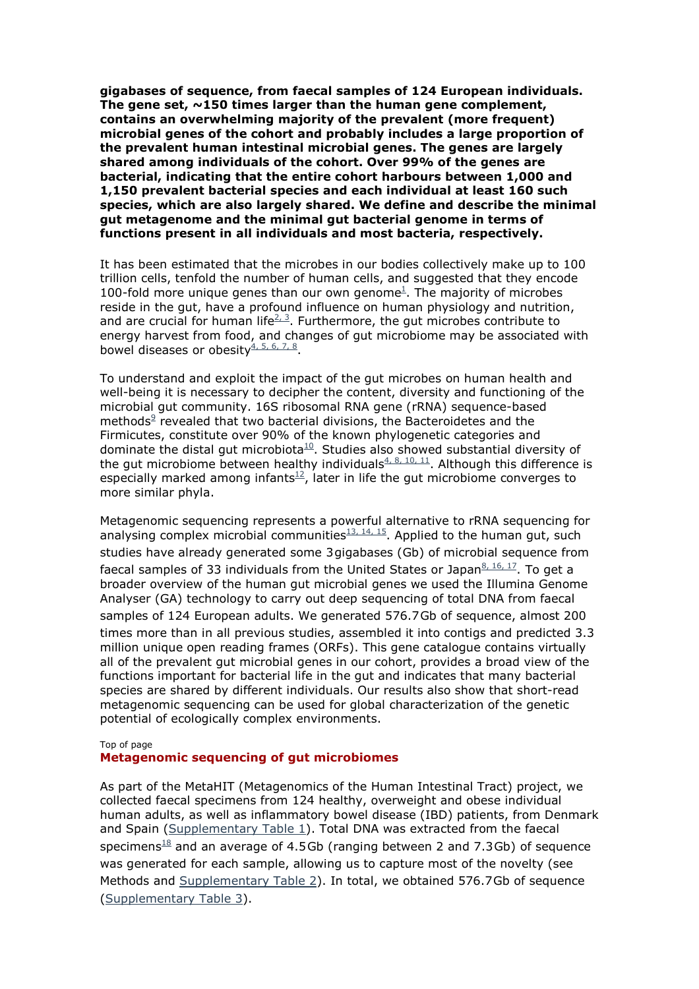**gigabases of sequence, from faecal samples of 124 European individuals. The gene set, ~150 times larger than the human gene complement, contains an overwhelming majority of the prevalent (more frequent) microbial genes of the cohort and probably includes a large proportion of the prevalent human intestinal microbial genes. The genes are largely shared among individuals of the cohort. Over 99% of the genes are bacterial, indicating that the entire cohort harbours between 1,000 and 1,150 prevalent bacterial species and each individual at least 160 such species, which are also largely shared. We define and describe the minimal gut metagenome and the minimal gut bacterial genome in terms of functions present in all individuals and most bacteria, respectively.** 

It has been estimated that the microbes in our bodies collectively make up to 100 trillion cells, tenfold the number of human cells, and suggested that they encode 100-fold more unique genes than our own genome $<sup>1</sup>$ . The majority of microbes</sup> reside in the gut, have a profound influence on human physiology and nutrition, and are crucial for human life<sup> $2,3$ </sup>. Furthermore, the gut microbes contribute to energy harvest from food, and changes of gut microbiome may be associated with bowel diseases or obesity $\frac{4, 5, 6, 7, 8}{5}$ .

To understand and exploit the impact of the gut microbes on human health and well-being it is necessary to decipher the content, diversity and functioning of the microbial gut community. 16S ribosomal RNA gene (rRNA) sequence-based methods $9$  revealed that two bacterial divisions, the Bacteroidetes and the Firmicutes, constitute over 90% of the known phylogenetic categories and dominate the distal gut microbiota $10$ . Studies also showed substantial diversity of the gut microbiome between healthy individuals  $4, 8, 10, 11$ . Although this difference is especially marked among infants<sup>12</sup>, later in life the gut microbiome converges to more similar phyla.

Metagenomic sequencing represents a powerful alternative to rRNA sequencing for analysing complex microbial communities $^{13, 14, 15}$ . Applied to the human gut, such studies have already generated some 3gigabases (Gb) of microbial sequence from faecal samples of 33 individuals from the United States or Japan $8,16,17$ . To get a broader overview of the human gut microbial genes we used the Illumina Genome Analyser (GA) technology to carry out deep sequencing of total DNA from faecal samples of 124 European adults. We generated 576.7Gb of sequence, almost 200 times more than in all previous studies, assembled it into contigs and predicted 3.3 million unique open reading frames (ORFs). This gene catalogue contains virtually all of the prevalent gut microbial genes in our cohort, provides a broad view of the functions important for bacterial life in the gut and indicates that many bacterial species are shared by different individuals. Our results also show that short-read metagenomic sequencing can be used for global characterization of the genetic potential of ecologically complex environments.

#### Top of page

#### **Metagenomic sequencing of gut microbiomes**

As part of the MetaHIT (Metagenomics of the Human Intestinal Tract) project, we collected faecal specimens from 124 healthy, overweight and obese individual human adults, as well as inflammatory bowel disease (IBD) patients, from Denmark and Spain (Supplementary Table 1). Total DNA was extracted from the faecal specimens<sup>18</sup> and an average of 4.5Gb (ranging between 2 and 7.3Gb) of sequence was generated for each sample, allowing us to capture most of the novelty (see Methods and Supplementary Table 2). In total, we obtained 576.7Gb of sequence (Supplementary Table 3).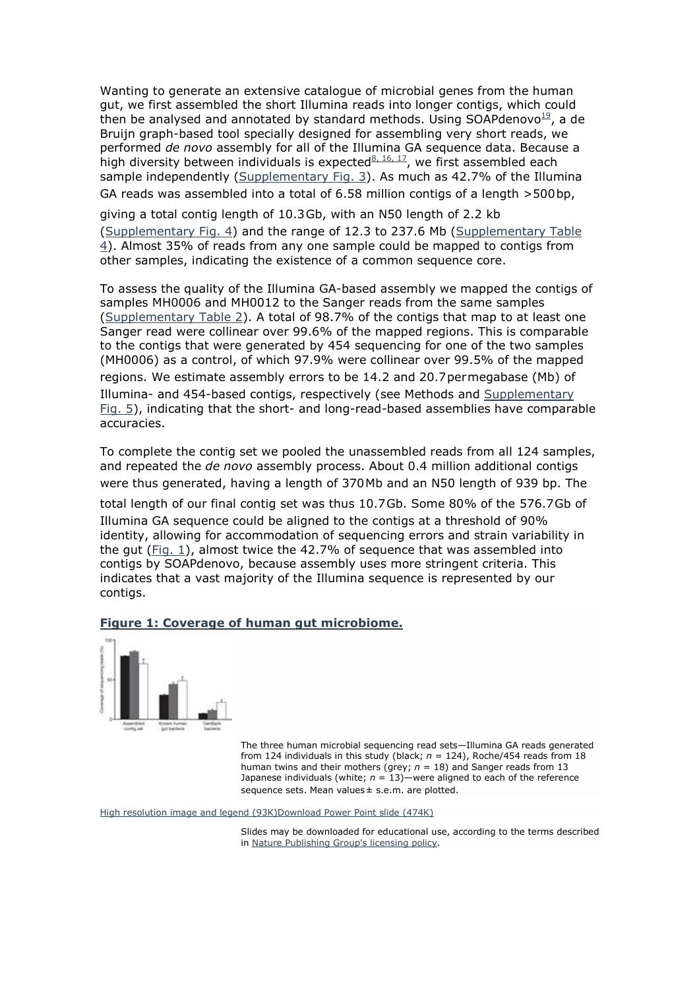Wanting to generate an extensive catalogue of microbial genes from the human gut, we first assembled the short Illumina reads into longer contigs, which could then be analysed and annotated by standard methods. Using SOAPdenovo $^{19}$ , a de Bruijn graph-based tool specially designed for assembling very short reads, we performed *de novo* assembly for all of the Illumina GA sequence data. Because a high diversity between individuals is expected $8, 16, 17$ , we first assembled each sample independently (Supplementary Fig. 3). As much as 42.7% of the Illumina GA reads was assembled into a total of 6.58 million contigs of a length >500bp,

giving a total contig length of 10.3Gb, with an N50 length of 2.2 kb (Supplementary Fig. 4) and the range of 12.3 to 237.6 Mb (Supplementary Table 4). Almost 35% of reads from any one sample could be mapped to contigs from other samples, indicating the existence of a common sequence core.

To assess the quality of the Illumina GA-based assembly we mapped the contigs of samples MH0006 and MH0012 to the Sanger reads from the same samples (Supplementary Table 2). A total of 98.7% of the contigs that map to at least one Sanger read were collinear over 99.6% of the mapped regions. This is comparable to the contigs that were generated by 454 sequencing for one of the two samples (MH0006) as a control, of which 97.9% were collinear over 99.5% of the mapped regions. We estimate assembly errors to be 14.2 and 20.7permegabase (Mb) of Illumina- and 454-based contigs, respectively (see Methods and Supplementary Fig. 5), indicating that the short- and long-read-based assemblies have comparable accuracies.

To complete the contig set we pooled the unassembled reads from all 124 samples, and repeated the *de novo* assembly process. About 0.4 million additional contigs were thus generated, having a length of 370Mb and an N50 length of 939 bp. The

total length of our final contig set was thus 10.7Gb. Some 80% of the 576.7Gb of Illumina GA sequence could be aligned to the contigs at a threshold of 90% identity, allowing for accommodation of sequencing errors and strain variability in the gut (Fig. 1), almost twice the 42.7% of sequence that was assembled into contigs by SOAPdenovo, because assembly uses more stringent criteria. This indicates that a vast majority of the Illumina sequence is represented by our contigs.

## **Figure 1: Coverage of human gut microbiome.**



The three human microbial sequencing read sets—Illumina GA reads generated from 124 individuals in this study (black;  $n = 124$ ), Roche/454 reads from 18 human twins and their mothers (grey;  $n = 18$ ) and Sanger reads from 13 Japanese individuals (white; *n* = 13)—were aligned to each of the reference sequence sets. Mean values ± s.e.m. are plotted.

High resolution image and legend (93K)Download Power Point slide (474K)

Slides may be downloaded for educational use, according to the terms described in Nature Publishing Group's licensing policy.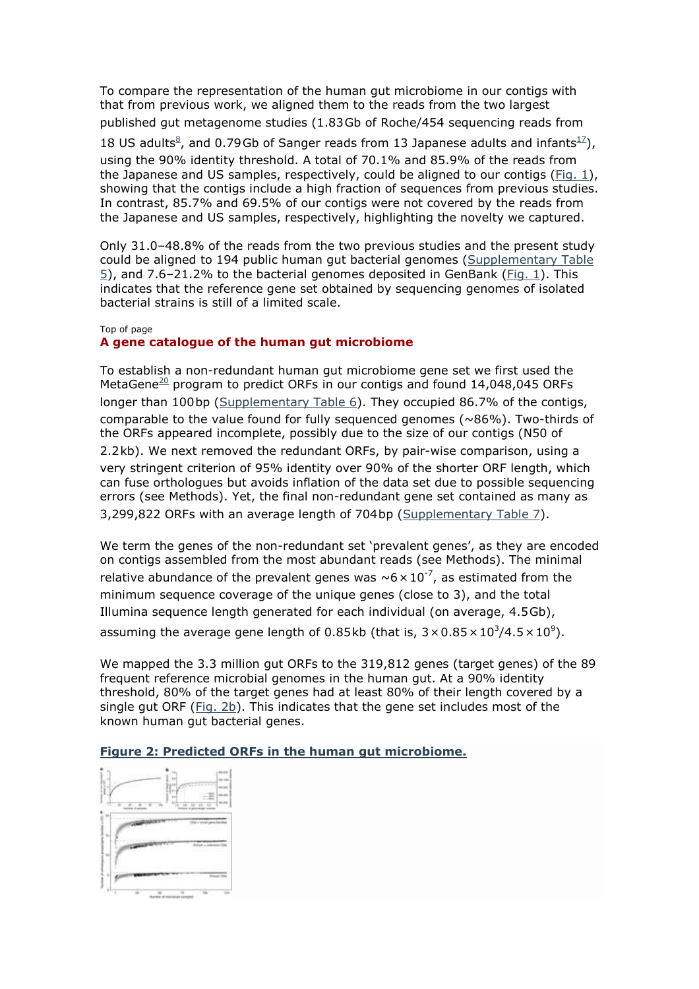To compare the representation of the human gut microbiome in our contigs with that from previous work, we aligned them to the reads from the two largest published gut metagenome studies (1.83Gb of Roche/454 sequencing reads from 18 US adults<sup>8</sup>, and 0.79Gb of Sanger reads from 13 Japanese adults and infants<sup>17</sup>), using the 90% identity threshold. A total of 70.1% and 85.9% of the reads from the Japanese and US samples, respectively, could be aligned to our contigs (Fig. 1), showing that the contigs include a high fraction of sequences from previous studies. In contrast, 85.7% and 69.5% of our contigs were not covered by the reads from the Japanese and US samples, respectively, highlighting the novelty we captured.

Only 31.0–48.8% of the reads from the two previous studies and the present study could be aligned to 194 public human gut bacterial genomes (Supplementary Table 5), and 7.6–21.2% to the bacterial genomes deposited in GenBank (Fig. 1). This indicates that the reference gene set obtained by sequencing genomes of isolated bacterial strains is still of a limited scale.

#### Top of page

## **A gene catalogue of the human gut microbiome**

To establish a non-redundant human gut microbiome gene set we first used the MetaGene $\frac{20}{1}$  program to predict ORFs in our contigs and found 14,048,045 ORFs longer than 100bp (Supplementary Table 6). They occupied 86.7% of the contigs, comparable to the value found for fully sequenced genomes ( $\sim86\%$ ). Two-thirds of the ORFs appeared incomplete, possibly due to the size of our contigs (N50 of 2.2kb). We next removed the redundant ORFs, by pair-wise comparison, using a very stringent criterion of 95% identity over 90% of the shorter ORF length, which can fuse orthologues but avoids inflation of the data set due to possible sequencing errors (see Methods). Yet, the final non-redundant gene set contained as many as 3,299,822 ORFs with an average length of 704bp (Supplementary Table 7).

We term the genes of the non-redundant set 'prevalent genes', as they are encoded on contigs assembled from the most abundant reads (see Methods). The minimal relative abundance of the prevalent genes was  $\sim 6 \times 10^{-7}$ , as estimated from the minimum sequence coverage of the unique genes (close to 3), and the total Illumina sequence length generated for each individual (on average, 4.5Gb), assuming the average gene length of 0.85kb (that is,  $3 \times 0.85 \times 10^3 / 4.5 \times 10^9$ ).

We mapped the 3.3 million gut ORFs to the 319,812 genes (target genes) of the 89 frequent reference microbial genomes in the human gut. At a 90% identity threshold, 80% of the target genes had at least 80% of their length covered by a single gut ORF ( $Fig. 2b$ ). This indicates that the gene set includes most of the known human gut bacterial genes.

## **Figure 2: Predicted ORFs in the human gut microbiome.**

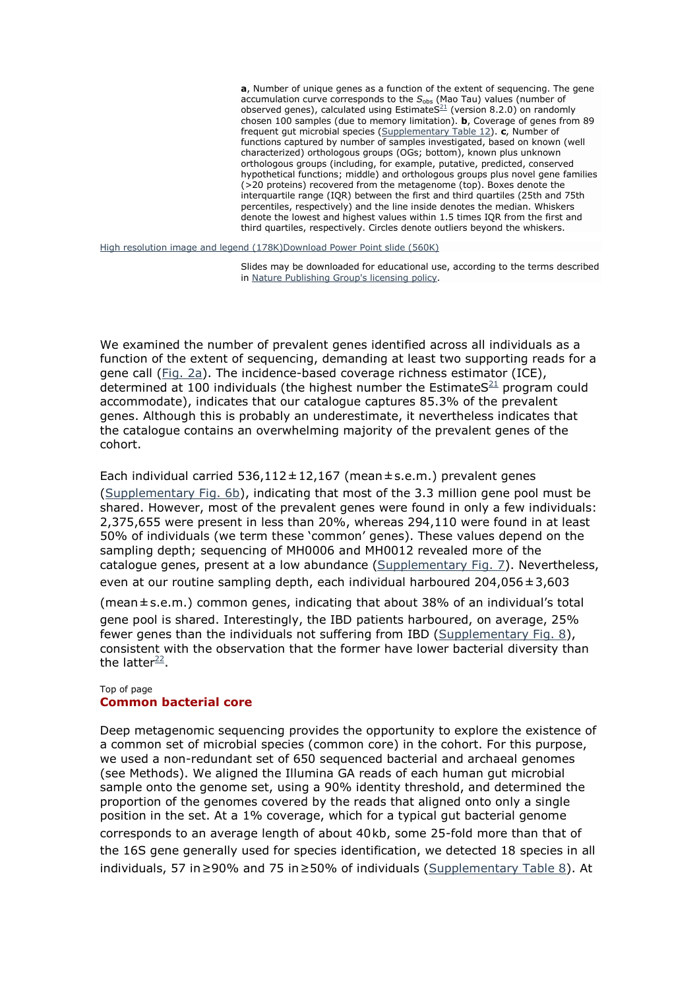**a**, Number of unique genes as a function of the extent of sequencing. The gene accumulation curve corresponds to the S<sub>obs</sub> (Mao Tau) values (number of observed genes), calculated using EstimateS<sup>21</sup> (version 8.2.0) on randomly chosen 100 samples (due to memory limitation). **b**, Coverage of genes from 89 frequent gut microbial species (Supplementary Table 12). **c**, Number of functions captured by number of samples investigated, based on known (well characterized) orthologous groups (OGs; bottom), known plus unknown orthologous groups (including, for example, putative, predicted, conserved hypothetical functions; middle) and orthologous groups plus novel gene families (>20 proteins) recovered from the metagenome (top). Boxes denote the interquartile range (IQR) between the first and third quartiles (25th and 75th percentiles, respectively) and the line inside denotes the median. Whiskers denote the lowest and highest values within 1.5 times IQR from the first and third quartiles, respectively. Circles denote outliers beyond the whiskers.

High resolution image and legend (178K)Download Power Point slide (560K)

Slides may be downloaded for educational use, according to the terms described in Nature Publishing Group's licensing policy.

We examined the number of prevalent genes identified across all individuals as a function of the extent of sequencing, demanding at least two supporting reads for a gene call (Fig. 2a). The incidence-based coverage richness estimator (ICE), determined at 100 individuals (the highest number the Estimate  $S^{21}$  program could accommodate), indicates that our catalogue captures 85.3% of the prevalent genes. Although this is probably an underestimate, it nevertheless indicates that the catalogue contains an overwhelming majority of the prevalent genes of the cohort.

Each individual carried  $536,112 \pm 12,167$  (mean $\pm$ s.e.m.) prevalent genes (Supplementary Fig. 6b), indicating that most of the 3.3 million gene pool must be shared. However, most of the prevalent genes were found in only a few individuals: 2,375,655 were present in less than 20%, whereas 294,110 were found in at least 50% of individuals (we term these 'common' genes). These values depend on the sampling depth; sequencing of MH0006 and MH0012 revealed more of the catalogue genes, present at a low abundance (Supplementary Fig. 7). Nevertheless, even at our routine sampling depth, each individual harboured 204,056±3,603

(mean±s.e.m.) common genes, indicating that about 38% of an individual's total gene pool is shared. Interestingly, the IBD patients harboured, on average, 25% fewer genes than the individuals not suffering from IBD (Supplementary Fig. 8), consistent with the observation that the former have lower bacterial diversity than the latter<sup>22</sup>.

## Top of page **Common bacterial core**

Deep metagenomic sequencing provides the opportunity to explore the existence of a common set of microbial species (common core) in the cohort. For this purpose, we used a non-redundant set of 650 sequenced bacterial and archaeal genomes (see Methods). We aligned the Illumina GA reads of each human gut microbial sample onto the genome set, using a 90% identity threshold, and determined the proportion of the genomes covered by the reads that aligned onto only a single position in the set. At a 1% coverage, which for a typical gut bacterial genome corresponds to an average length of about 40kb, some 25-fold more than that of the 16S gene generally used for species identification, we detected 18 species in all individuals, 57 in≥90% and 75 in≥50% of individuals (Supplementary Table 8). At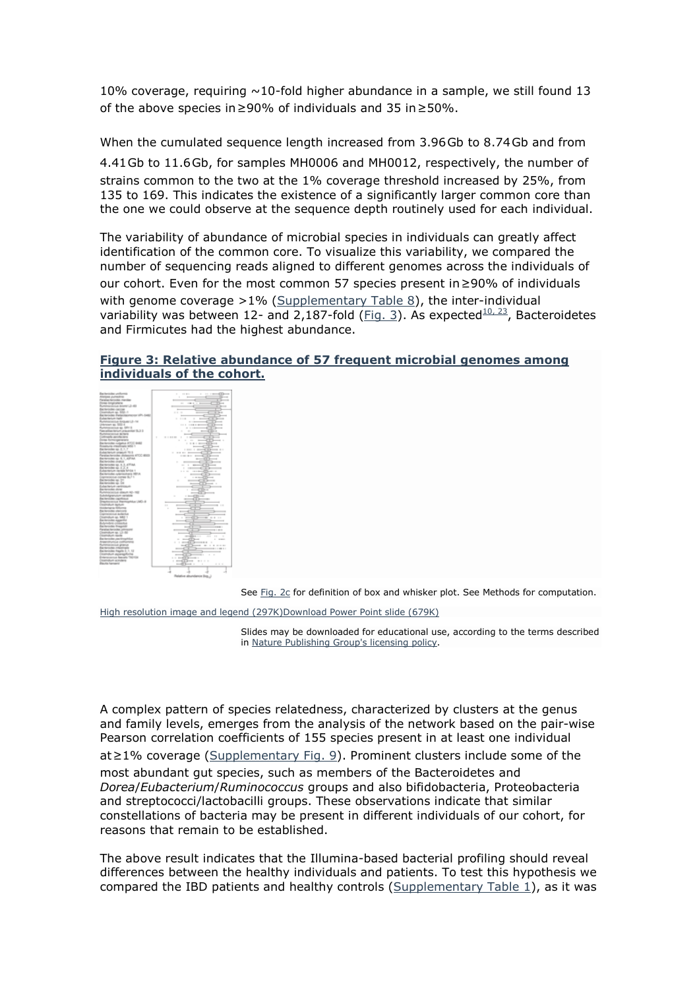10% coverage, requiring  $\sim$ 10-fold higher abundance in a sample, we still found 13 of the above species in≥90% of individuals and 35 in≥50%.

When the cumulated sequence length increased from 3.96Gb to 8.74Gb and from 4.41Gb to 11.6Gb, for samples MH0006 and MH0012, respectively, the number of strains common to the two at the 1% coverage threshold increased by 25%, from 135 to 169. This indicates the existence of a significantly larger common core than the one we could observe at the sequence depth routinely used for each individual.

The variability of abundance of microbial species in individuals can greatly affect identification of the common core. To visualize this variability, we compared the number of sequencing reads aligned to different genomes across the individuals of our cohort. Even for the most common 57 species present in≥90% of individuals with genome coverage  $>1\%$  (Supplementary Table 8), the inter-individual variability was between 12- and 2,187-fold (Fig. 3). As expected $^{10, 23}$ , Bacteroidetes and Firmicutes had the highest abundance.

## **Figure 3: Relative abundance of 57 frequent microbial genomes among individuals of the cohort.**



See Fig. 2c for definition of box and whisker plot. See Methods for computation.

High resolution image and legend (297K)Download Power Point slide (679K)

Slides may be downloaded for educational use, according to the terms described in Nature Publishing Group's licensing policy.

A complex pattern of species relatedness, characterized by clusters at the genus and family levels, emerges from the analysis of the network based on the pair-wise Pearson correlation coefficients of 155 species present in at least one individual at≥1% coverage (Supplementary Fig. 9). Prominent clusters include some of the most abundant gut species, such as members of the Bacteroidetes and *Dorea*/*Eubacterium*/*Ruminococcus* groups and also bifidobacteria, Proteobacteria and streptococci/lactobacilli groups. These observations indicate that similar constellations of bacteria may be present in different individuals of our cohort, for reasons that remain to be established.

The above result indicates that the Illumina-based bacterial profiling should reveal differences between the healthy individuals and patients. To test this hypothesis we compared the IBD patients and healthy controls (Supplementary Table 1), as it was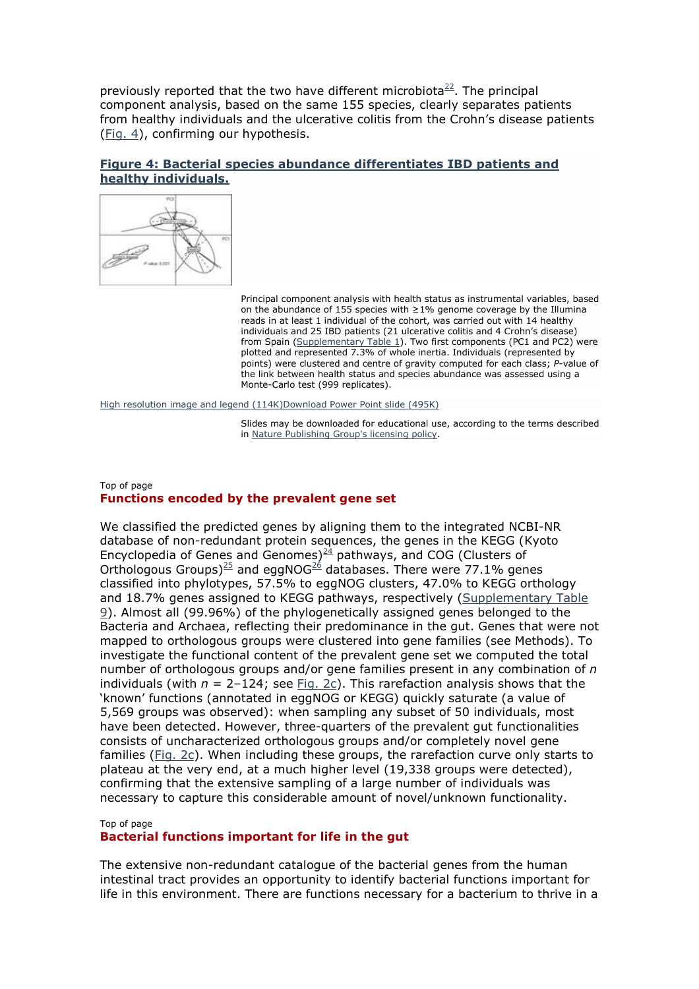previously reported that the two have different microbiota $22$ . The principal component analysis, based on the same 155 species, clearly separates patients from healthy individuals and the ulcerative colitis from the Crohn's disease patients (Fig. 4), confirming our hypothesis.

## **Figure 4: Bacterial species abundance differentiates IBD patients and healthy individuals.**



Principal component analysis with health status as instrumental variables, based on the abundance of 155 species with ≥1% genome coverage by the Illumina reads in at least 1 individual of the cohort, was carried out with 14 healthy individuals and 25 IBD patients (21 ulcerative colitis and 4 Crohn's disease) from Spain (Supplementary Table 1). Two first components (PC1 and PC2) were plotted and represented 7.3% of whole inertia. Individuals (represented by points) were clustered and centre of gravity computed for each class; *P*-value of the link between health status and species abundance was assessed using a Monte-Carlo test (999 replicates).

High resolution image and legend (114K)Download Power Point slide (495K)

Slides may be downloaded for educational use, according to the terms described in Nature Publishing Group's licensing policy.

## Top of page **Functions encoded by the prevalent gene set**

We classified the predicted genes by aligning them to the integrated NCBI-NR database of non-redundant protein sequences, the genes in the KEGG (Kyoto Encyclopedia of Genes and Genomes) $^{24}$  pathways, and COG (Clusters of Orthologous Groups)<sup>25</sup> and eggNOG<sup>26</sup> databases. There were 77.1% genes classified into phylotypes, 57.5% to eggNOG clusters, 47.0% to KEGG orthology and 18.7% genes assigned to KEGG pathways, respectively (Supplementary Table 9). Almost all (99.96%) of the phylogenetically assigned genes belonged to the Bacteria and Archaea, reflecting their predominance in the gut. Genes that were not mapped to orthologous groups were clustered into gene families (see Methods). To investigate the functional content of the prevalent gene set we computed the total number of orthologous groups and/or gene families present in any combination of *n* individuals (with  $n = 2-124$ ; see  $Fig. 2c$ ). This rarefaction analysis shows that the 'known' functions (annotated in eggNOG or KEGG) quickly saturate (a value of 5,569 groups was observed): when sampling any subset of 50 individuals, most have been detected. However, three-quarters of the prevalent gut functionalities consists of uncharacterized orthologous groups and/or completely novel gene families (Fig. 2c). When including these groups, the rarefaction curve only starts to plateau at the very end, at a much higher level (19,338 groups were detected), confirming that the extensive sampling of a large number of individuals was necessary to capture this considerable amount of novel/unknown functionality.

#### Top of page

#### **Bacterial functions important for life in the gut**

The extensive non-redundant catalogue of the bacterial genes from the human intestinal tract provides an opportunity to identify bacterial functions important for life in this environment. There are functions necessary for a bacterium to thrive in a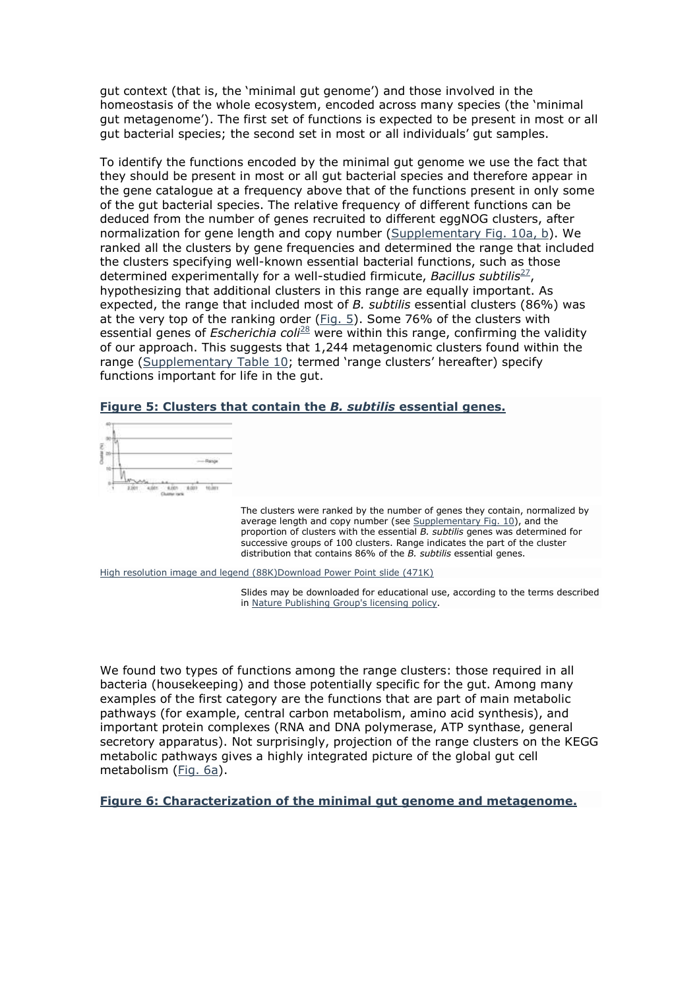gut context (that is, the 'minimal gut genome') and those involved in the homeostasis of the whole ecosystem, encoded across many species (the 'minimal gut metagenome'). The first set of functions is expected to be present in most or all gut bacterial species; the second set in most or all individuals' gut samples.

To identify the functions encoded by the minimal gut genome we use the fact that they should be present in most or all gut bacterial species and therefore appear in the gene catalogue at a frequency above that of the functions present in only some of the gut bacterial species. The relative frequency of different functions can be deduced from the number of genes recruited to different eggNOG clusters, after normalization for gene length and copy number (Supplementary Fig. 10a, b). We ranked all the clusters by gene frequencies and determined the range that included the clusters specifying well-known essential bacterial functions, such as those determined experimentally for a well-studied firmicute, *Bacillus subtilis<sup>27</sup>*, hypothesizing that additional clusters in this range are equally important. As expected, the range that included most of *B. subtilis* essential clusters (86%) was at the very top of the ranking order (Fig. 5). Some 76% of the clusters with essential genes of *Escherichia coli*<sup>28</sup> were within this range, confirming the validity of our approach. This suggests that 1,244 metagenomic clusters found within the range (Supplementary Table 10; termed 'range clusters' hereafter) specify functions important for life in the gut.

### **Figure 5: Clusters that contain the** *B. subtilis* **essential genes.**



The clusters were ranked by the number of genes they contain, normalized by average length and copy number (see Supplementary Fig. 10), and the proportion of clusters with the essential *B. subtilis* genes was determined for successive groups of 100 clusters. Range indicates the part of the cluster distribution that contains 86% of the *B. subtilis* essential genes.

High resolution image and legend (88K)Download Power Point slide (471K)

Slides may be downloaded for educational use, according to the terms described in Nature Publishing Group's licensing policy.

We found two types of functions among the range clusters: those required in all bacteria (housekeeping) and those potentially specific for the gut. Among many examples of the first category are the functions that are part of main metabolic pathways (for example, central carbon metabolism, amino acid synthesis), and important protein complexes (RNA and DNA polymerase, ATP synthase, general secretory apparatus). Not surprisingly, projection of the range clusters on the KEGG metabolic pathways gives a highly integrated picture of the global gut cell metabolism (Fig. 6a).

**Figure 6: Characterization of the minimal gut genome and metagenome.**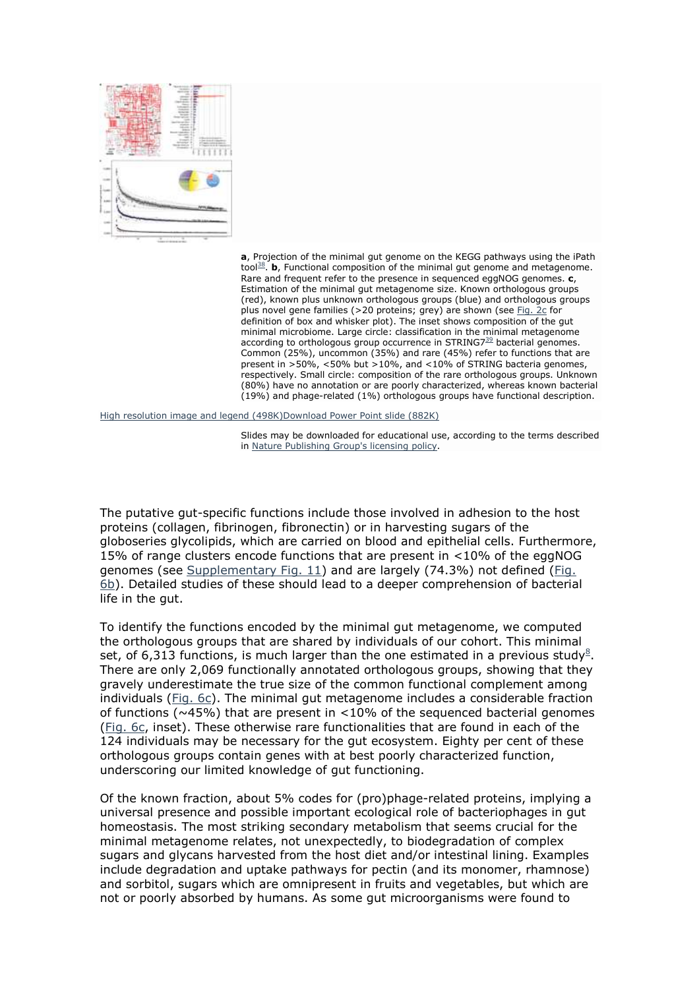

**a**, Projection of the minimal gut genome on the KEGG pathways using the iPath tool<sup>38</sup>. **b**, Functional composition of the minimal gut genome and metagenome. Rare and frequent refer to the presence in sequenced eggNOG genomes. **c**, Estimation of the minimal gut metagenome size. Known orthologous groups (red), known plus unknown orthologous groups (blue) and orthologous groups plus novel gene families (>20 proteins; grey) are shown (see Fig. 2c for definition of box and whisker plot). The inset shows composition of the gut minimal microbiome. Large circle: classification in the minimal metagenome according to orthologous group occurrence in STRING7 $^{\frac{39}{}}$  bacterial genomes. Common (25%), uncommon (35%) and rare (45%) refer to functions that are present in >50%, <50% but >10%, and <10% of STRING bacteria genomes, respectively. Small circle: composition of the rare orthologous groups. Unknown (80%) have no annotation or are poorly characterized, whereas known bacterial (19%) and phage-related (1%) orthologous groups have functional description.

High resolution image and legend (498K)Download Power Point slide (882K)

Slides may be downloaded for educational use, according to the terms described in Nature Publishing Group's licensing policy.

The putative gut-specific functions include those involved in adhesion to the host proteins (collagen, fibrinogen, fibronectin) or in harvesting sugars of the globoseries glycolipids, which are carried on blood and epithelial cells. Furthermore, 15% of range clusters encode functions that are present in <10% of the eggNOG genomes (see Supplementary Fig. 11) and are largely (74.3%) not defined (Fig. 6b). Detailed studies of these should lead to a deeper comprehension of bacterial life in the gut.

To identify the functions encoded by the minimal gut metagenome, we computed the orthologous groups that are shared by individuals of our cohort. This minimal set, of 6,313 functions, is much larger than the one estimated in a previous study<sup>8</sup>. There are only 2,069 functionally annotated orthologous groups, showing that they gravely underestimate the true size of the common functional complement among individuals (Fig. 6c). The minimal gut metagenome includes a considerable fraction of functions ( $\sim$ 45%) that are present in <10% of the sequenced bacterial genomes (Fig. 6c, inset). These otherwise rare functionalities that are found in each of the 124 individuals may be necessary for the gut ecosystem. Eighty per cent of these orthologous groups contain genes with at best poorly characterized function, underscoring our limited knowledge of gut functioning.

Of the known fraction, about 5% codes for (pro)phage-related proteins, implying a universal presence and possible important ecological role of bacteriophages in gut homeostasis. The most striking secondary metabolism that seems crucial for the minimal metagenome relates, not unexpectedly, to biodegradation of complex sugars and glycans harvested from the host diet and/or intestinal lining. Examples include degradation and uptake pathways for pectin (and its monomer, rhamnose) and sorbitol, sugars which are omnipresent in fruits and vegetables, but which are not or poorly absorbed by humans. As some gut microorganisms were found to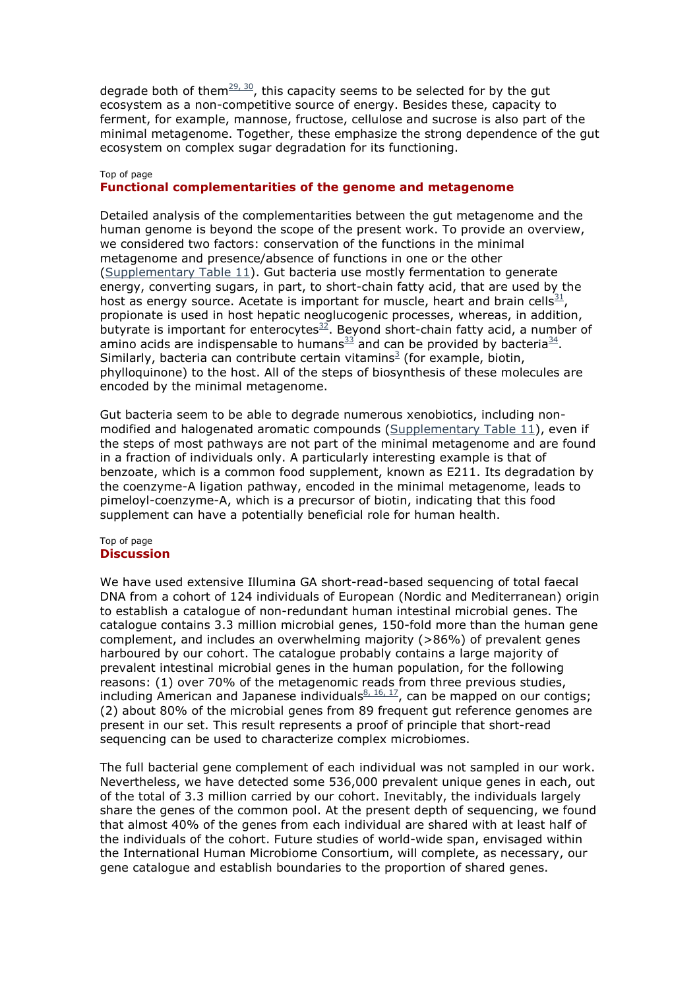degrade both of them $29, 30$ , this capacity seems to be selected for by the gut ecosystem as a non-competitive source of energy. Besides these, capacity to ferment, for example, mannose, fructose, cellulose and sucrose is also part of the minimal metagenome. Together, these emphasize the strong dependence of the gut ecosystem on complex sugar degradation for its functioning.

#### Top of page

#### **Functional complementarities of the genome and metagenome**

Detailed analysis of the complementarities between the gut metagenome and the human genome is beyond the scope of the present work. To provide an overview, we considered two factors: conservation of the functions in the minimal metagenome and presence/absence of functions in one or the other (Supplementary Table 11). Gut bacteria use mostly fermentation to generate energy, converting sugars, in part, to short-chain fatty acid, that are used by the host as energy source. Acetate is important for muscle, heart and brain cells $31/2$ , propionate is used in host hepatic neoglucogenic processes, whereas, in addition, butyrate is important for enterocytes $32$ . Beyond short-chain fatty acid, a number of amino acids are indispensable to humans $^{33}$  and can be provided by bacteria $^{34}$ . Similarly, bacteria can contribute certain vitamins<sup>3</sup> (for example, biotin, phylloquinone) to the host. All of the steps of biosynthesis of these molecules are encoded by the minimal metagenome.

Gut bacteria seem to be able to degrade numerous xenobiotics, including nonmodified and halogenated aromatic compounds (Supplementary Table 11), even if the steps of most pathways are not part of the minimal metagenome and are found in a fraction of individuals only. A particularly interesting example is that of benzoate, which is a common food supplement, known as E211. Its degradation by the coenzyme-A ligation pathway, encoded in the minimal metagenome, leads to pimeloyl-coenzyme-A, which is a precursor of biotin, indicating that this food supplement can have a potentially beneficial role for human health.

#### Top of page **Discussion**

We have used extensive Illumina GA short-read-based sequencing of total faecal DNA from a cohort of 124 individuals of European (Nordic and Mediterranean) origin to establish a catalogue of non-redundant human intestinal microbial genes. The catalogue contains 3.3 million microbial genes, 150-fold more than the human gene complement, and includes an overwhelming majority (>86%) of prevalent genes harboured by our cohort. The catalogue probably contains a large majority of prevalent intestinal microbial genes in the human population, for the following reasons: (1) over 70% of the metagenomic reads from three previous studies, including American and Japanese individuals $\frac{8, 16, 17}{2}$ , can be mapped on our contigs; (2) about 80% of the microbial genes from 89 frequent gut reference genomes are present in our set. This result represents a proof of principle that short-read sequencing can be used to characterize complex microbiomes.

The full bacterial gene complement of each individual was not sampled in our work. Nevertheless, we have detected some 536,000 prevalent unique genes in each, out of the total of 3.3 million carried by our cohort. Inevitably, the individuals largely share the genes of the common pool. At the present depth of sequencing, we found that almost 40% of the genes from each individual are shared with at least half of the individuals of the cohort. Future studies of world-wide span, envisaged within the International Human Microbiome Consortium, will complete, as necessary, our gene catalogue and establish boundaries to the proportion of shared genes.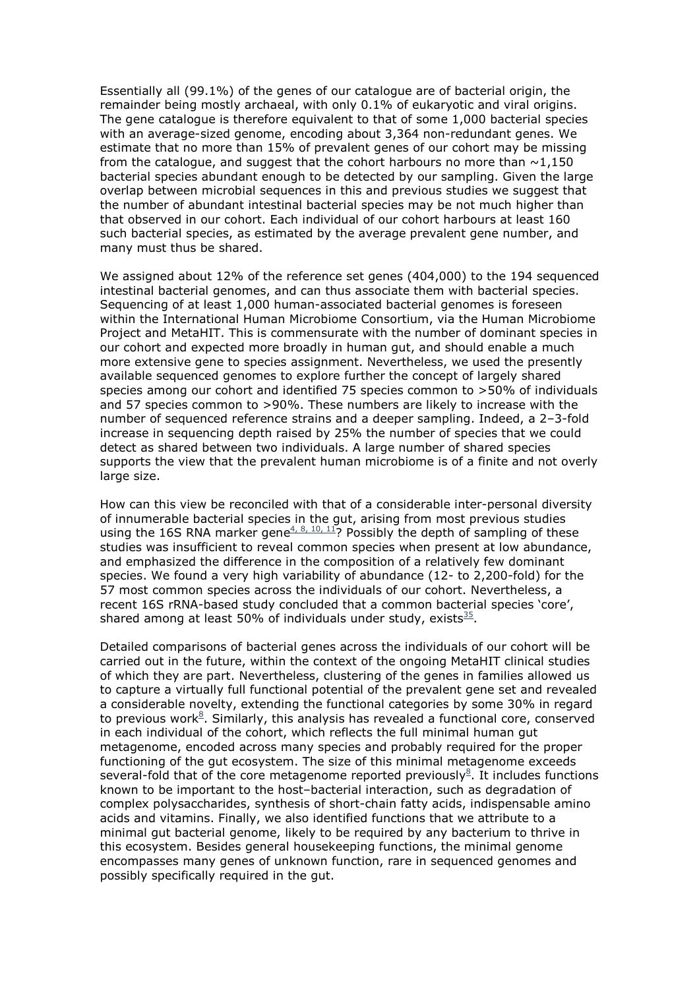Essentially all (99.1%) of the genes of our catalogue are of bacterial origin, the remainder being mostly archaeal, with only 0.1% of eukaryotic and viral origins. The gene catalogue is therefore equivalent to that of some 1,000 bacterial species with an average-sized genome, encoding about 3,364 non-redundant genes. We estimate that no more than 15% of prevalent genes of our cohort may be missing from the catalogue, and suggest that the cohort harbours no more than  $\sim$ 1,150 bacterial species abundant enough to be detected by our sampling. Given the large overlap between microbial sequences in this and previous studies we suggest that the number of abundant intestinal bacterial species may be not much higher than that observed in our cohort. Each individual of our cohort harbours at least 160 such bacterial species, as estimated by the average prevalent gene number, and many must thus be shared.

We assigned about 12% of the reference set genes (404,000) to the 194 sequenced intestinal bacterial genomes, and can thus associate them with bacterial species. Sequencing of at least 1,000 human-associated bacterial genomes is foreseen within the International Human Microbiome Consortium, via the Human Microbiome Project and MetaHIT. This is commensurate with the number of dominant species in our cohort and expected more broadly in human gut, and should enable a much more extensive gene to species assignment. Nevertheless, we used the presently available sequenced genomes to explore further the concept of largely shared species among our cohort and identified 75 species common to >50% of individuals and 57 species common to >90%. These numbers are likely to increase with the number of sequenced reference strains and a deeper sampling. Indeed, a 2–3-fold increase in sequencing depth raised by 25% the number of species that we could detect as shared between two individuals. A large number of shared species supports the view that the prevalent human microbiome is of a finite and not overly large size.

How can this view be reconciled with that of a considerable inter-personal diversity of innumerable bacterial species in the gut, arising from most previous studies using the 16S RNA marker gene<sup>4, 8, 10, 11</sup>? Possibly the depth of sampling of these studies was insufficient to reveal common species when present at low abundance, and emphasized the difference in the composition of a relatively few dominant species. We found a very high variability of abundance (12- to 2,200-fold) for the 57 most common species across the individuals of our cohort. Nevertheless, a recent 16S rRNA-based study concluded that a common bacterial species 'core', shared among at least 50% of individuals under study, exists $^{\underline{35}}$ .

Detailed comparisons of bacterial genes across the individuals of our cohort will be carried out in the future, within the context of the ongoing MetaHIT clinical studies of which they are part. Nevertheless, clustering of the genes in families allowed us to capture a virtually full functional potential of the prevalent gene set and revealed a considerable novelty, extending the functional categories by some 30% in regard to previous work $8$ . Similarly, this analysis has revealed a functional core, conserved in each individual of the cohort, which reflects the full minimal human gut metagenome, encoded across many species and probably required for the proper functioning of the gut ecosystem. The size of this minimal metagenome exceeds several-fold that of the core metagenome reported previously $8$ . It includes functions known to be important to the host–bacterial interaction, such as degradation of complex polysaccharides, synthesis of short-chain fatty acids, indispensable amino acids and vitamins. Finally, we also identified functions that we attribute to a minimal gut bacterial genome, likely to be required by any bacterium to thrive in this ecosystem. Besides general housekeeping functions, the minimal genome encompasses many genes of unknown function, rare in sequenced genomes and possibly specifically required in the gut.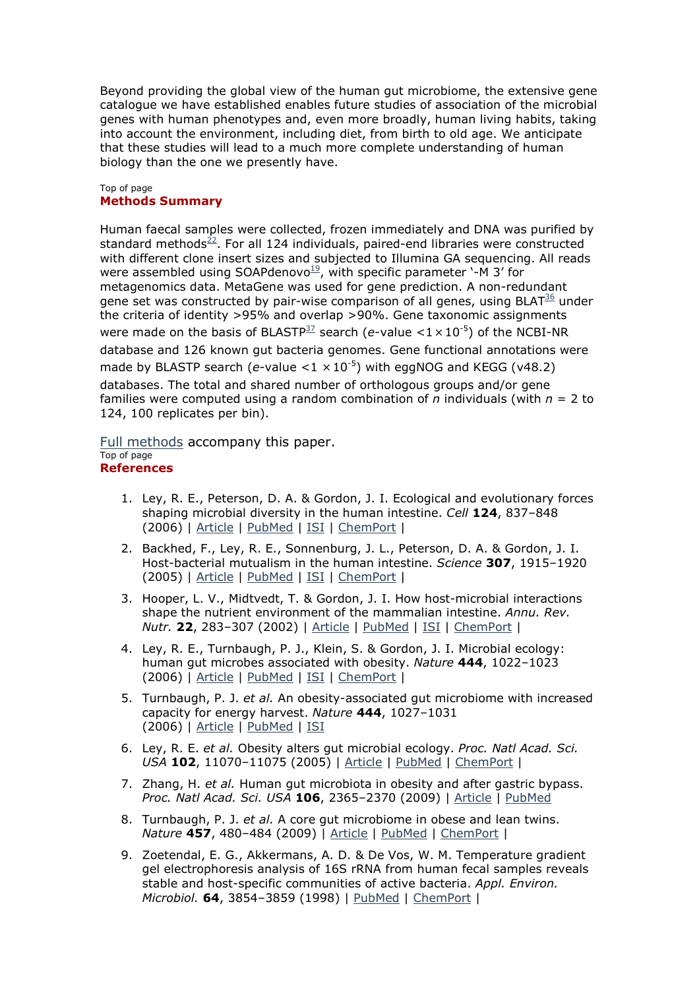Beyond providing the global view of the human gut microbiome, the extensive gene catalogue we have established enables future studies of association of the microbial genes with human phenotypes and, even more broadly, human living habits, taking into account the environment, including diet, from birth to old age. We anticipate that these studies will lead to a much more complete understanding of human biology than the one we presently have.

#### Top of page **Methods Summary**

Human faecal samples were collected, frozen immediately and DNA was purified by standard methods $^{22}$ . For all 124 individuals, paired-end libraries were constructed with different clone insert sizes and subjected to Illumina GA sequencing. All reads were assembled using SOAPdenovo $19$ , with specific parameter '-M 3' for metagenomics data. MetaGene was used for gene prediction. A non-redundant gene set was constructed by pair-wise comparison of all genes, using BLAT $36$  under the criteria of identity >95% and overlap >90%. Gene taxonomic assignments were made on the basis of BLASTP<sup>37</sup> search ( $e$ -value <1  $\times$  10<sup>-5</sup>) of the NCBI-NR database and 126 known gut bacteria genomes. Gene functional annotations were made by BLASTP search ( $e$ -value  $<$ 1  $\times$  10<sup>-5</sup>) with eggNOG and KEGG ( $v$ 48.2) databases. The total and shared number of orthologous groups and/or gene families were computed using a random combination of *n* individuals (with *n* = 2 to 124, 100 replicates per bin).

Full methods accompany this paper. Top of page **References** 

- 1. Ley, R. E., Peterson, D. A. & Gordon, J. I. Ecological and evolutionary forces shaping microbial diversity in the human intestine. *Cell* **124**, 837–848 (2006) | Article | PubMed | ISI | ChemPort |
- 2. Backhed, F., Ley, R. E., Sonnenburg, J. L., Peterson, D. A. & Gordon, J. I. Host-bacterial mutualism in the human intestine. *Science* **307**, 1915–1920 (2005) | Article | PubMed | ISI | ChemPort |
- 3. Hooper, L. V., Midtvedt, T. & Gordon, J. I. How host-microbial interactions shape the nutrient environment of the mammalian intestine. *Annu. Rev. Nutr.* **22**, 283–307 (2002) | Article | PubMed | ISI | ChemPort |
- 4. Ley, R. E., Turnbaugh, P. J., Klein, S. & Gordon, J. I. Microbial ecology: human gut microbes associated with obesity. *Nature* **444**, 1022–1023 (2006) | Article | PubMed | ISI | ChemPort |
- 5. Turnbaugh, P. J. *et al.* An obesity-associated gut microbiome with increased capacity for energy harvest. *Nature* **444**, 1027–1031 (2006) | Article | PubMed | ISI
- 6. Ley, R. E. *et al.* Obesity alters gut microbial ecology. *Proc. Natl Acad. Sci. USA* **102**, 11070–11075 (2005) | Article | PubMed | ChemPort |
- 7. Zhang, H. *et al.* Human gut microbiota in obesity and after gastric bypass. *Proc. Natl Acad. Sci. USA* **106**, 2365–2370 (2009) | Article | PubMed
- 8. Turnbaugh, P. J. *et al.* A core gut microbiome in obese and lean twins. *Nature* **457**, 480–484 (2009) | Article | PubMed | ChemPort |
- 9. Zoetendal, E. G., Akkermans, A. D. & De Vos, W. M. Temperature gradient gel electrophoresis analysis of 16S rRNA from human fecal samples reveals stable and host-specific communities of active bacteria. *Appl. Environ. Microbiol.* **64**, 3854–3859 (1998) | PubMed | ChemPort |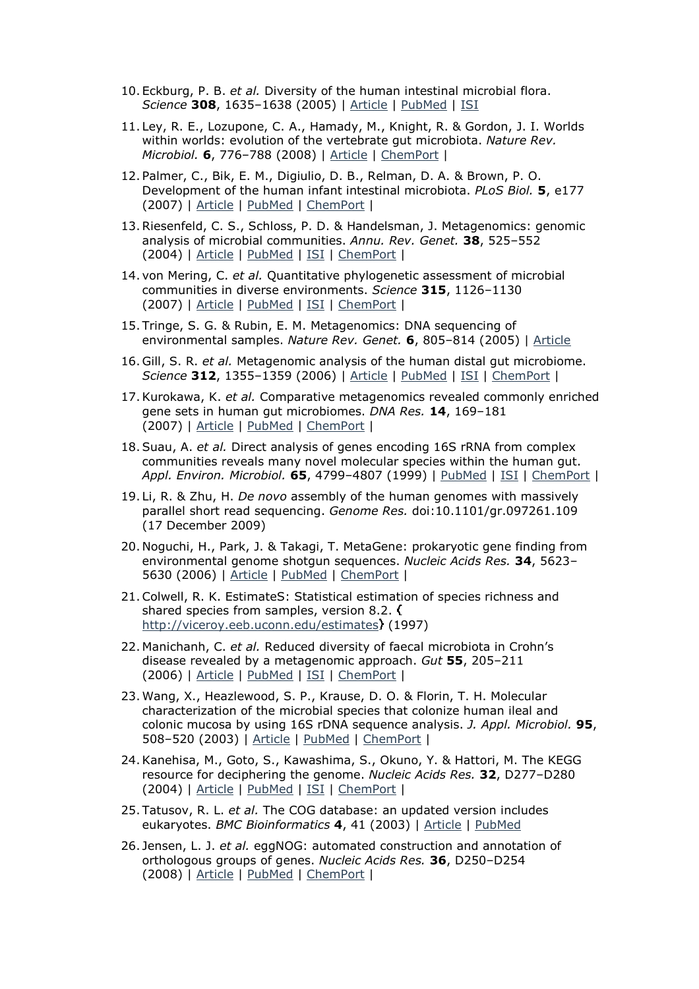- 10. Eckburg, P. B. *et al.* Diversity of the human intestinal microbial flora. *Science* **308**, 1635–1638 (2005) | Article | PubMed | ISI
- 11. Ley, R. E., Lozupone, C. A., Hamady, M., Knight, R. & Gordon, J. I. Worlds within worlds: evolution of the vertebrate gut microbiota. *Nature Rev. Microbiol.* **6**, 776–788 (2008) | Article | ChemPort |
- 12. Palmer, C., Bik, E. M., Digiulio, D. B., Relman, D. A. & Brown, P. O. Development of the human infant intestinal microbiota. *PLoS Biol.* **5**, e177 (2007) | Article | PubMed | ChemPort |
- 13.Riesenfeld, C. S., Schloss, P. D. & Handelsman, J. Metagenomics: genomic analysis of microbial communities. *Annu. Rev. Genet.* **38**, 525–552 (2004) | Article | PubMed | ISI | ChemPort |
- 14. von Mering, C. *et al.* Quantitative phylogenetic assessment of microbial communities in diverse environments. *Science* **315**, 1126–1130 (2007) | Article | PubMed | ISI | ChemPort |
- 15. Tringe, S. G. & Rubin, E. M. Metagenomics: DNA sequencing of environmental samples. *Nature Rev. Genet.* **6**, 805–814 (2005) | Article
- 16. Gill, S. R. *et al.* Metagenomic analysis of the human distal gut microbiome. *Science* **312**, 1355–1359 (2006) | Article | PubMed | ISI | ChemPort |
- 17.Kurokawa, K. *et al.* Comparative metagenomics revealed commonly enriched gene sets in human gut microbiomes. *DNA Res.* **14**, 169–181 (2007) | Article | PubMed | ChemPort |
- 18.Suau, A. *et al.* Direct analysis of genes encoding 16S rRNA from complex communities reveals many novel molecular species within the human gut. *Appl. Environ. Microbiol.* **65**, 4799–4807 (1999) | PubMed | ISI | ChemPort |
- 19. Li, R. & Zhu, H. *De novo* assembly of the human genomes with massively parallel short read sequencing. *Genome Res.* doi:10.1101/gr.097261.109 (17 December 2009)
- 20. Noguchi, H., Park, J. & Takagi, T. MetaGene: prokaryotic gene finding from environmental genome shotgun sequences. *Nucleic Acids Res.* **34**, 5623– 5630 (2006) | Article | PubMed | ChemPort |
- 21.Colwell, R. K. EstimateS: Statistical estimation of species richness and shared species from samples, version 8.2. ( http://viceroy.eeb.uconn.edu/estimates (1997)
- 22. Manichanh, C. *et al.* Reduced diversity of faecal microbiota in Crohn's disease revealed by a metagenomic approach. *Gut* **55**, 205–211 (2006) | Article | PubMed | ISI | ChemPort |
- 23. Wang, X., Heazlewood, S. P., Krause, D. O. & Florin, T. H. Molecular characterization of the microbial species that colonize human ileal and colonic mucosa by using 16S rDNA sequence analysis. *J. Appl. Microbiol.* **95**, 508–520 (2003) | Article | PubMed | ChemPort |
- 24.Kanehisa, M., Goto, S., Kawashima, S., Okuno, Y. & Hattori, M. The KEGG resource for deciphering the genome. *Nucleic Acids Res.* **32**, D277–D280 (2004) | Article | PubMed | ISI | ChemPort |
- 25. Tatusov, R. L. *et al.* The COG database: an updated version includes eukaryotes. *BMC Bioinformatics* **4**, 41 (2003) | Article | PubMed
- 26. Jensen, L. J. *et al.* eggNOG: automated construction and annotation of orthologous groups of genes. *Nucleic Acids Res.* **36**, D250–D254 (2008) | Article | PubMed | ChemPort |